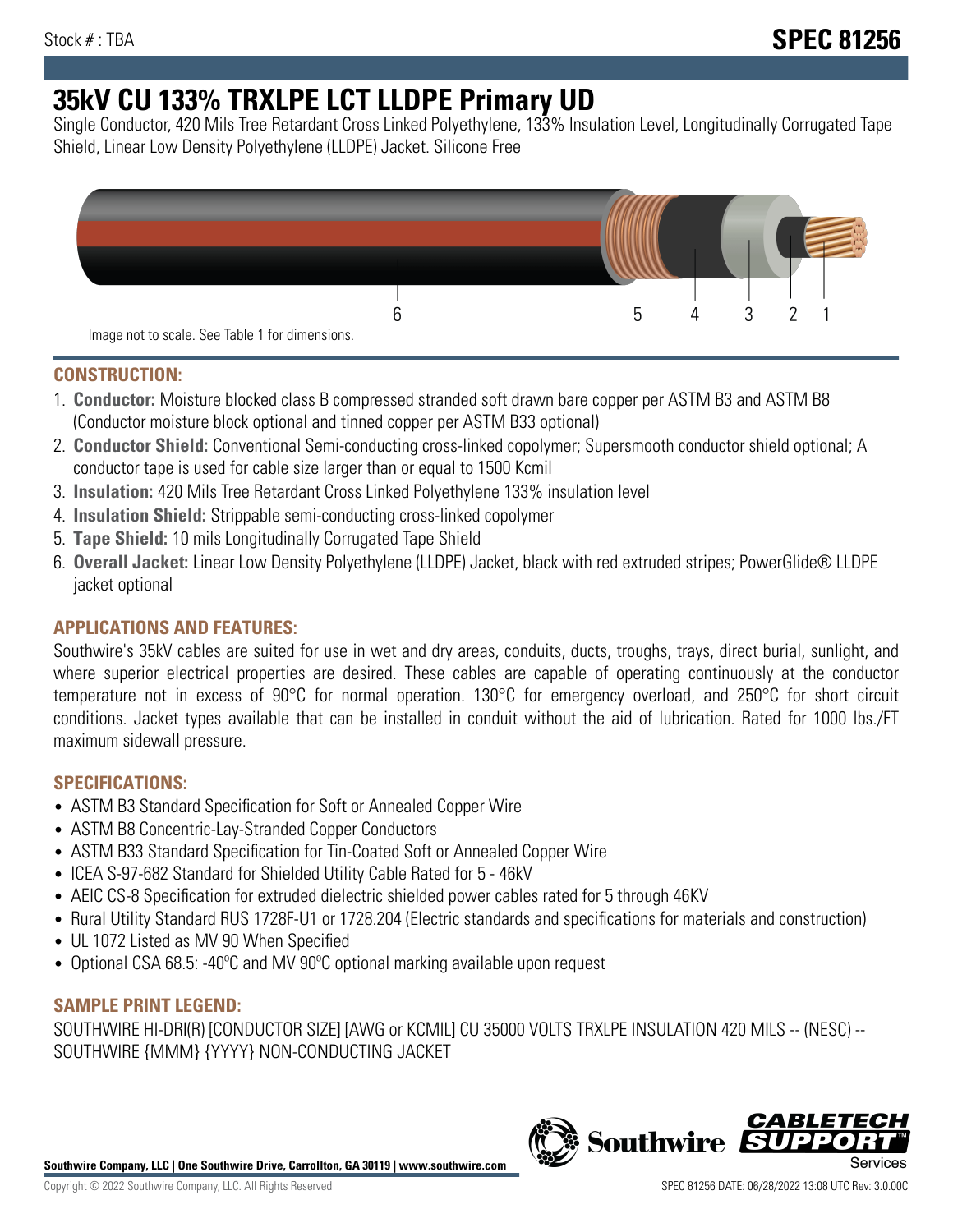# **35kV CU 133% TRXLPE LCT LLDPE Primary UD**

Single Conductor, 420 Mils Tree Retardant Cross Linked Polyethylene, 133% Insulation Level, Longitudinally Corrugated Tape Shield, Linear Low Density Polyethylene (LLDPE) Jacket. Silicone Free



## **CONSTRUCTION:**

- 1. **Conductor:** Moisture blocked class B compressed stranded soft drawn bare copper per ASTM B3 and ASTM B8 (Conductor moisture block optional and tinned copper per ASTM B33 optional)
- 2. **Conductor Shield:** Conventional Semi-conducting cross-linked copolymer; Supersmooth conductor shield optional; A conductor tape is used for cable size larger than or equal to 1500 Kcmil
- 3. **Insulation:** 420 Mils Tree Retardant Cross Linked Polyethylene 133% insulation level
- 4. **Insulation Shield:** Strippable semi-conducting cross-linked copolymer
- 5. **Tape Shield:** 10 mils Longitudinally Corrugated Tape Shield
- 6. **Overall Jacket:** Linear Low Density Polyethylene (LLDPE) Jacket, black with red extruded stripes; PowerGlide® LLDPE jacket optional

# **APPLICATIONS AND FEATURES:**

Southwire's 35kV cables are suited for use in wet and dry areas, conduits, ducts, troughs, trays, direct burial, sunlight, and where superior electrical properties are desired. These cables are capable of operating continuously at the conductor temperature not in excess of 90°C for normal operation. 130°C for emergency overload, and 250°C for short circuit conditions. Jacket types available that can be installed in conduit without the aid of lubrication. Rated for 1000 lbs./FT maximum sidewall pressure.

# **SPECIFICATIONS:**

- ASTM B3 Standard Specification for Soft or Annealed Copper Wire
- ASTM B8 Concentric-Lay-Stranded Copper Conductors
- ASTM B33 Standard Specification for Tin-Coated Soft or Annealed Copper Wire
- ICEA S-97-682 Standard for Shielded Utility Cable Rated for 5 46kV
- AEIC CS-8 Specification for extruded dielectric shielded power cables rated for 5 through 46KV
- Rural Utility Standard RUS 1728F-U1 or 1728.204 (Electric standards and specifications for materials and construction)
- UL 1072 Listed as MV 90 When Specified
- Optional CSA 68.5: -40ºC and MV 90ºC optional marking available upon request

# **SAMPLE PRINT LEGEND:**

SOUTHWIRE HI-DRI(R) [CONDUCTOR SIZE] [AWG or KCMIL] CU 35000 VOLTS TRXLPE INSULATION 420 MILS -- (NESC) -- SOUTHWIRE {MMM} {YYYY} NON-CONDUCTING JACKET

**Southwire Company, LLC | One Southwire Drive, Carrollton, GA 30119 | www.southwire.com**